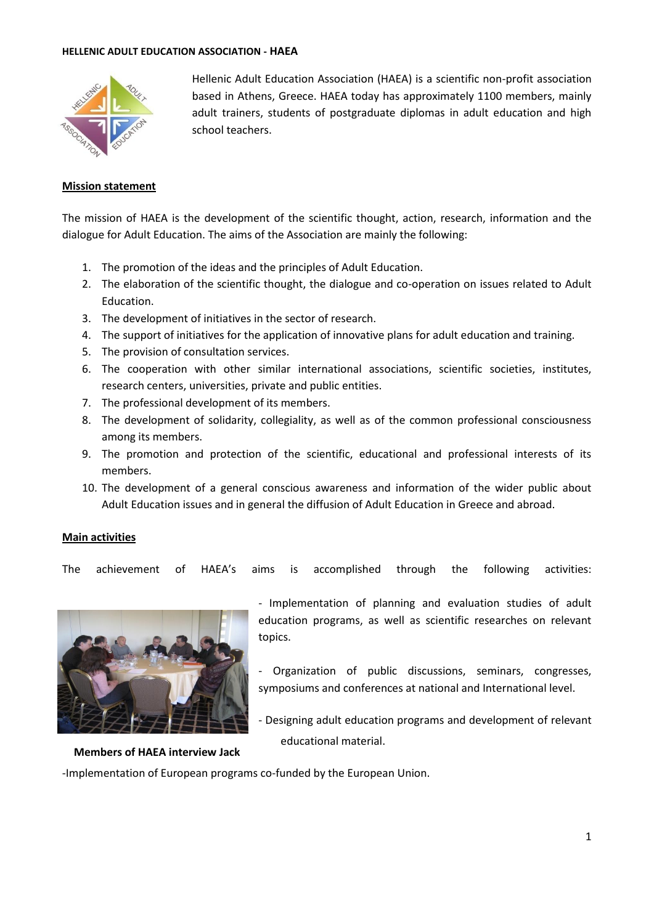#### **HELLENIC ADULT EDUCATION ASSOCIATION - HAEΑ**



Hellenic Adult Education Association (HAEΑ) is a scientific non-profit association based in Athens, [Greece.](http://adulteduc.gr/eng/index.html) HAEA today has approximately 1100 members, mainly adult trainers, students of postgraduate diplomas in adult education and high school teachers.

### **Mission statement**

The mission of HAEA is the development of the scientific thought, action, research, information and the dialogue for Adult Education. The aims of the Association are mainly the following:

- 1. The promotion of the ideas and the principles of Adult Education.
- 2. The elaboration of the scientific thought, the dialogue and co-operation on issues related to Adult Education.
- 3. The development of initiatives in the sector of research.
- 4. The support of initiatives for the application of innovative plans for adult education and training.
- 5. The provision of consultation services.
- 6. The cooperation with other similar international associations, scientific societies, institutes, research centers, universities, private and public entities.
- 7. The professional development of its members.
- 8. The development of solidarity, collegiality, as well as of the common professional consciousness among its members.
- 9. The promotion and protection of the scientific, educational and professional interests of its members.
- 10. The development of a general conscious awareness and information of the wider public about Adult Education issues and in general the diffusion of Adult Education in Greece and abroad.

### **Main activities**

The achievement of HAEA's aims is accomplished through the following activities:



**Members of HAEA interview Jack** 

- Implementation of planning and evaluation studies of adult education programs, as well as scientific researches on relevant topics.

- Organization of public discussions, seminars, congresses, symposiums and conferences at national and International level.
- Designing adult education programs and development of relevant educational material.

-Implementation of European programs co-funded by the European Union.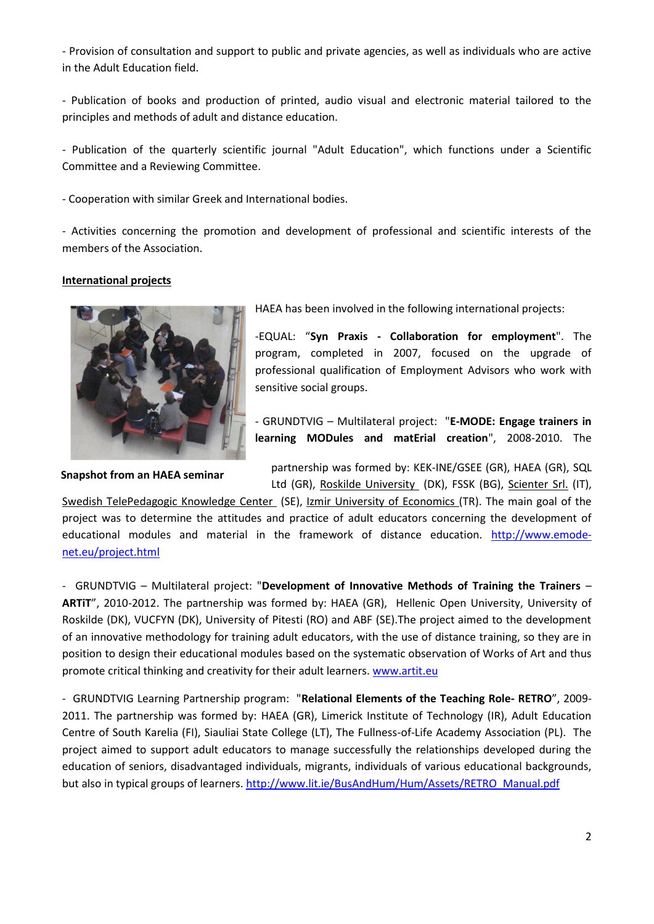- Provision of consultation and support to public and private agencies, as well as individuals who are active in the Adult Education field.

- Publication of books and production of printed, audio visual and electronic material tailored to the principles and methods of adult and distance education.

- Publication of the quarterly scientific journal "Adult Education", which functions under a Scientific Committee and a Reviewing Committee.

- Cooperation with similar [Greek](http://www.eaea.org/index.php?k=7197&member=00593) and International bodies.

- Activities concerning the promotion and development of professional and scientific interests of the members of the Association.

### **International projects**



**Snapshot from an HAEA seminar**

HAEA has been involved in the following international projects:

-EQUAL: "**Syn Praxis - Collaboration for employment**". The program, completed in 2007, focused on the upgrade of professional qualification of Employment Advisors who work with sensitive social groups.

- GRUNDTVIG – Multilateral project: "**E-MODE: Engage trainers in learning MODules and matErial creation**", 2008-2010. The

partnership was formed by: [KEK-INE/GSEE \(GR\), HAEA \(GR\), S](http://www.inegsee.gr/moodle/#_blank)QL Ltd (GR), [Roskilde University](http://www.ruc.dk/ruc_en/#_blank) (DK), FSSK (BG), [Scienter Srl.](http://www.emode-net.eu/project-partners.html#_blank) (IT),

[Swedish TelePedagogic Knowledge Center](http://www.pedagogic.com/#_blank) (SE), [Izmir University of Economics \(](http://www.iue.edu.tr/#_blank)TR). The main goal of the project was to determine the attitudes and practice of adult educators concerning the development of educational modules and material in the framework of distance education. [http://www.emode](http://www.emode-net.eu/project.html)[net.eu/project.html](http://www.emode-net.eu/project.html)

- GRUNDTVIG – Multilateral project: "**Development of Innovative Methods of Training the Trainers** – **ARTiT**", 2010-2012. The partnership was formed by: HAEA (GR), Hellenic [Open](http://www.eaea.org/index.php?k=7197&member=00593) University, University of Roskilde (DK), VUCFYN (DK), University of Pitesti (RO) and ABF (SE).The project aimed to the development of an innovative methodology for training adult educators, with the use of distance training, so they are in position to design their educational modules based on the systematic observation of Works of Art and thus promote critical thinking and creativity for their adult learners. [www.artit.eu](http://www.artit.eu/)

- GRUNDTVIG Learning Partnership program: "**Relational Elements of the Teaching Role- RETRO**", 2009- 2011. The partnership was formed by: HAEA (GR), Limerick Institute of Technology (IR), Adult Education Centre of South Karelia (FI), Siauliai State College (LT), The Fullness-of-Life Academy Association (PL). The project aimed to support adult educators to manage successfully the relationships developed during the education of seniors, disadvantaged individuals, migrants, individuals of various educational backgrounds, but also in typical groups of learners. [http://www.lit.ie/BusAndHum/Hum/Assets/RETRO\\_Manual.pdf](http://www.lit.ie/BusAndHum/Hum/Assets/RETRO_Manual.pdf)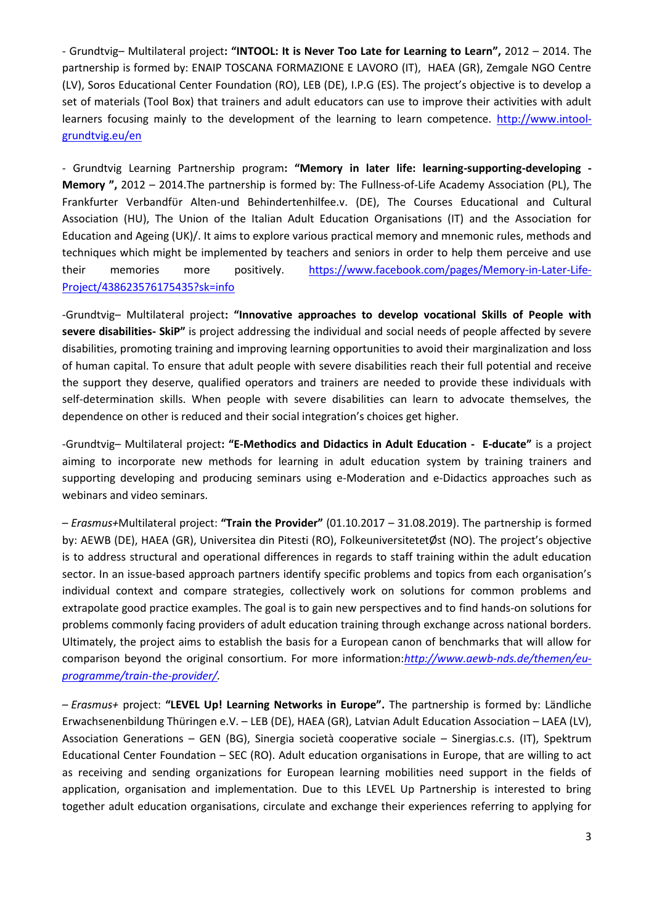- Grundtvig– Multilateral project**: "INTOOL: It is Never Too Late for Learning to Learn",** 2012 – 2014. The partnership is formed by: ENAIP TOSCANA FORMAZIONE E LAVORO (IT), HAEA (GR), Zemgale NGO Centre (LV), Soros Educational Center Foundation (RO), LEB (DE), I.P.G (ES). The project's objective is to develop a set of materials (Tool Box) that trainers and adult educators can use to improve their activities with adult learners focusing mainly to the development of the learning to learn competence. [http://www.intool](http://www.intool-grundtvig.eu/en)[grundtvig.eu/en](http://www.intool-grundtvig.eu/en)

- Grundtvig Learning Partnership program**: "Memory in later life: learning-supporting-developing - Memory ",** 2012 – 2014.The partnership is formed by: The Fullness-of-Life Academy Association (PL), The Frankfurter Verbandfϋr Alten-und Behindertenhilfee.v. (DE), The Courses Educational and Cultural Association (HU), The Union of the Italian Adult Education Organisations (IT) and the Association for Education and Ageing (UK)/. It aims to explore various practical memory and mnemonic rules, methods and techniques which might be implemented by teachers and seniors in order to help them perceive and use their memories more positively. [https://www.facebook.com/pages/Memory-in-Later-Life-](https://www.facebook.com/pages/Memory-in-Later-Life-Project/438623576175435?sk=info)[Project/438623576175435?sk=info](https://www.facebook.com/pages/Memory-in-Later-Life-Project/438623576175435?sk=info)

-Grundtvig– Multilateral project**: "Innovative approaches to develop vocational Skills of People with severe disabilities- SkiP"** is project addressing the individual and social needs of people affected by severe disabilities, promoting training and improving learning opportunities to avoid their marginalization and loss of human capital. To ensure that adult people with severe disabilities reach their full potential and receive the support they deserve, qualified operators and trainers are needed to provide these individuals with self-determination skills. When people with severe disabilities can learn to advocate themselves, the dependence on other is reduced and their social integration's choices get higher.

-Grundtvig– Multilateral project**: "E-Methodics and Didactics in Adult Education - E-ducate"** is a project aiming to incorporate new methods for learning in adult education system by training trainers and supporting developing and producing seminars using e-Moderation and e-Didactics approaches such as webinars and video seminars.

– *Erasmus+*Multilateral project: **"Train the Provider"** (01.10.2017 – 31.08.2019). The partnership is formed by: AEWB (DE), HAEA (GR), Universitea din Pitesti (RO), FolkeuniversitetetØst (NO). The project's objective is to address structural and operational differences in regards to staff training within the adult education sector. In an issue-based approach partners identify specific problems and topics from each organisation's individual context and compare strategies, collectively work on solutions for common problems and extrapolate good practice examples. The goal is to gain new perspectives and to find hands-on solutions for problems commonly facing providers of adult education training through exchange across national borders. Ultimately, the project aims to establish the basis for a European canon of benchmarks that will allow for comparison beyond the original consortium. For more information:*[http://www.aewb-nds.de/themen/eu](http://www.aewb-nds.de/themen/eu-programme/train-the-provider/)[programme/train-the-provider/.](http://www.aewb-nds.de/themen/eu-programme/train-the-provider/)* 

– *Erasmus+* project: **"LEVEL Up! Learning Networks in Europe".** The partnership is formed by: Ländliche Erwachsenenbildung Thüringen e.V. – LEB (DE), HAEA (GR), Latvian Adult Education Association – LAEA (LV), Association Generations – GEN (BG), Sinergia società cooperative sociale – Sinergias.c.s. (IT), Spektrum Educational Center Foundation – SEC (RO). Adult education organisations in Europe, that are willing to act as receiving and sending organizations for European learning mobilities need support in the fields of application, organisation and implementation. Due to this LEVEL Up Partnership is interested to bring together adult education organisations, circulate and exchange their experiences referring to applying for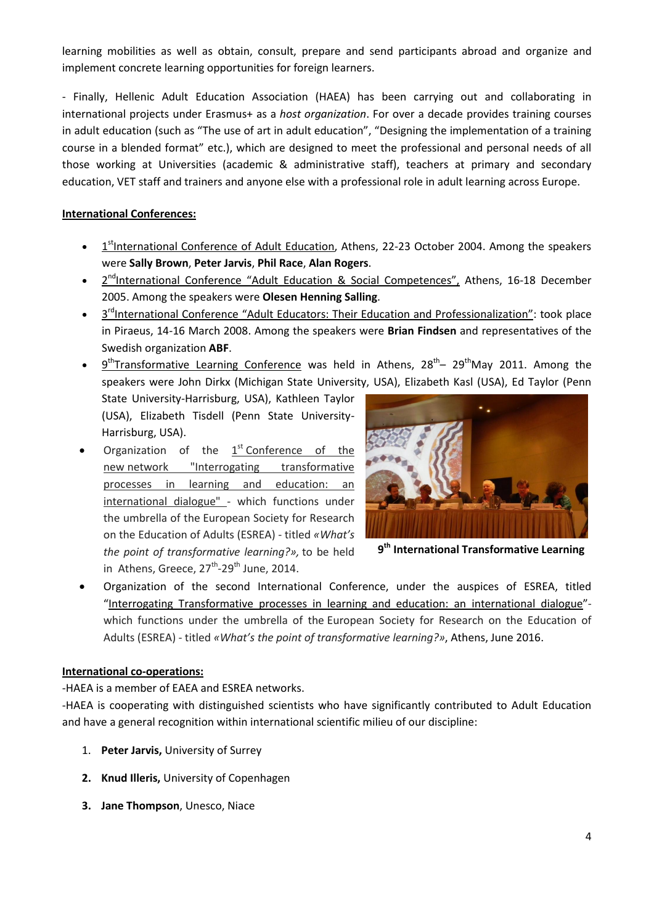learning mobilities as well as obtain, consult, prepare and send participants abroad and organize and implement concrete learning opportunities for foreign learners.

- Finally, Hellenic Adult Education Association (HAEΑ) has been carrying out and collaborating in international projects under Erasmus+ as a *host organization*. For over a decade provides training courses in adult education (such as "The use of art in adult education", "Designing the implementation of a training course in a blended format" etc.), which are designed to meet the professional and personal needs of all those working at Universities (academic & administrative staff), teachers at primary and secondary education, VET staff and trainers and anyone else with a professional role in adult learning across Europe.

# **International Conferences:**

- 1<sup>st</sup>International Conference of Adult Education, Athens, 22-23 October 2004. Among the speakers were **Sally Brown**, **Peter Jarvis**, **Phil Race**, **Alan Rogers**.
- 2<sup>nd</sup>International Conference "Adult Education & Social Competences", Athens, 16-18 December 2005. Among the speakers were **Olesen Henning Salling**.
- 3<sup>rd</sup>International Conference "Adult Educators: Their Education and Professionalization": took place in Piraeus, 14-16 March 2008. Among the speakers were **Brian Findsen** and representatives of the Swedish organization **ABF**.
- $\bullet$  9<sup>th</sup>Transformative Learning Conference was held in Athens, 28<sup>th</sup>– 29<sup>th</sup>May 2011. Among the speakers were John Dirkx (Michigan State University, USA), Elizabeth Kasl (USA), Ed Taylor (Penn State University-Harrisburg, USA), Kathleen Taylor

(USA), Elizabeth Tisdell (Penn State University-Harrisburg, USA).

Organization of the  $1<sup>st</sup>$  Conference of the new network "Interrogating transformative processes in learning and education: an international dialogue" - which functions under the umbrella of the European Society for Research on the Education of Adults (ESREA) - titled *«What's the point of transformative learning?»,* to be held in Athens, Greece,  $27^{\text{th}}$ -29<sup>th</sup> June, 2014.



**9th International Transformative Learning** 

Organization of the second International Conference, under the auspices of ESREA, titled "Interrogating Transformative processes in learning and education: an international dialogue" which functions under the umbrella of the European Society for Research on the Education of Adults (ESREA) - titled *«What's the point of transformative learning?»*, Athens, June 2016.

# **International co-operations:**

-HAEA is a member of EAEA and ESREA networks.

-HAEA is cooperating with distinguished scientists who have significantly contributed to Adult Education and have a general recognition within international scientific milieu of our discipline:

- 1. **Peter Jarvis,** University of Surrey
- **2. Knud Illeris,** University of Copenhagen
- **3. Jane Thompson**, Unesco, Niace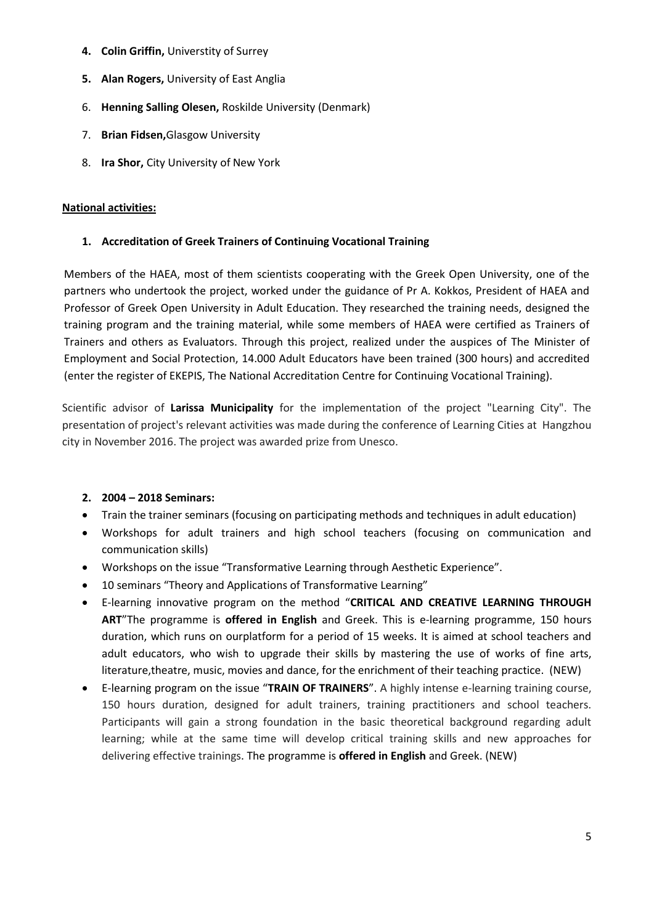- **4. Colin Griffin,** Universtity of Surrey
- **5. Alan Rogers,** University of East Anglia
- 6. **Henning Salling Olesen,** Roskilde University (Denmark)
- 7. **Brian Fidsen,**Glasgow University
- 8. **Ira Shor,** City University of New York

## **National activities:**

# **1. Accreditation of Greek Trainers of Continuing Vocational Training**

Members of the HAEA, most of them scientists cooperating with the Greek Open University, one of the partners who undertook the project, worked under the guidance of Pr A. Kokkos, President of HAEA and Professor of Greek Open University in Adult Education. They researched the training needs, designed the training program and the training material, while some members of HAEA were certified as Trainers of Trainers and others as Evaluators. Through this project, realized under the auspices of The Minister of Employment and Social Protection, 14.000 Adult Educators have been trained (300 hours) and accredited (enter the register of EKEPIS, The National Accreditation Centre for Continuing Vocational Training).

Scientific advisor of **Larissa Municipality** for the implementation of the project "Learning City". The presentation of project's relevant activities was made during the conference of Learning Cities at Hangzhou city in November 2016. The project was awarded prize from Unesco.

# **2. 2004 – 2018 Seminars:**

- Train the trainer seminars (focusing on participating methods and techniques in adult education)
- Workshops for adult trainers and high school teachers (focusing on communication and communication skills)
- Workshops on the issue "Transformative Learning through Aesthetic Experience".
- 10 seminars "Theory and Applications of Transformative Learning"
- **•** E-learning innovative program on the method "CRITICAL AND CREATIVE LEARNING THROUGH **ART**"The programme is **offered in English** and Greek. This is e-learning programme, 150 hours duration, which runs on ourplatform for a period of 15 weeks. It is aimed at school teachers and adult educators, who wish to upgrade their skills by mastering the use of works of fine arts, literature,theatre, music, movies and dance, for the enrichment of their teaching practice. (NEW)
- x E-learning program on the issue "**TRAIN OF TRAINERS**". A highly intense e-learning training course, 150 hours duration, designed for adult trainers, training practitioners and school teachers. Participants will gain a strong foundation in the basic theoretical background regarding adult learning; while at the same time will develop critical training skills and new approaches for delivering effective trainings. The programme is **offered in English** and Greek. (NEW)